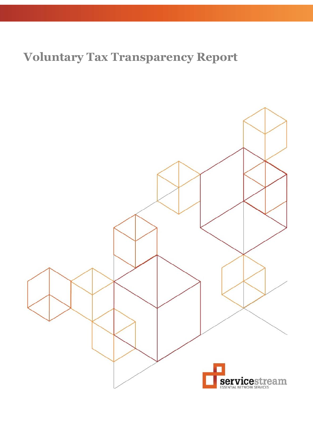# **Voluntary Tax Transparency Report**

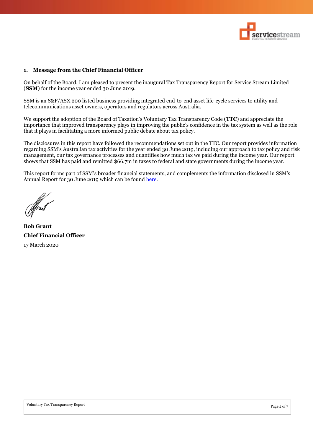

#### **1. Message from the Chief Financial Officer**

On behalf of the Board, I am pleased to present the inaugural Tax Transparency Report for Service Stream Limited (**SSM**) for the income year ended 30 June 2019.

SSM is an S&P/ASX 200 listed business providing integrated end-to-end asset life-cycle services to utility and telecommunications asset owners, operators and regulators across Australia.

We support the adoption of the Board of Taxation's Voluntary Tax Transparency Code (**TTC**) and appreciate the importance that improved transparency plays in improving the public's confidence in the tax system as well as the role that it plays in facilitating a more informed public debate about tax policy.

The disclosures in this report have followed the recommendations set out in the TTC. Our report provides information regarding SSM's Australian tax activities for the year ended 30 June 2019, including our approach to tax policy and risk management, our tax governance processes and quantifies how much tax we paid during the income year. Our report shows that SSM has paid and remitted \$66.7m in taxes to federal and state governments during the income year.

This report forms part of SSM's broader financial statements, and complements the information disclosed in SSM's Annual Report for 30 June 2019 which can be found [here.](https://www.servicestream.com.au/uploads/other/884f031e1284e8b4b752b2839f5118a53196a6fa.pdf)

**Bob Grant Chief Financial Officer** 17 March 2020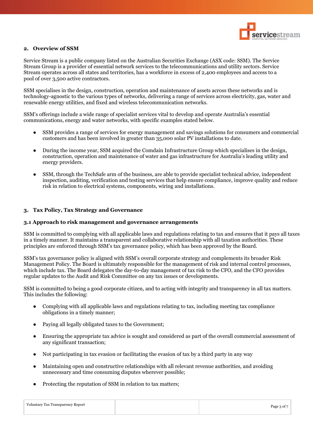

#### **2. Overview of SSM**

Service Stream is a public company listed on the Australian Securities Exchange (ASX code: SSM). The Service Stream Group is a provider of essential network services to the telecommunications and utility sectors. Service Stream operates across all states and territories, has a workforce in excess of 2,400 employees and access to a pool of over 3,500 active contractors.

SSM specialises in the design, construction, operation and maintenance of assets across these networks and is technology-agnostic to the various types of networks, delivering a range of services across electricity, gas, water and renewable energy utilities, and fixed and wireless telecommunication networks.

SSM's offerings include a wide range of specialist services vital to develop and operate Australia's essential communications, energy and water networks, with specific examples stated below.

- SSM provides a range of services for energy management and savings solutions for consumers and commercial customers and has been involved in greater than 35,000 solar PV installations to date.
- During the income year, SSM acquired the Comdain Infrastructure Group which specialises in the design, construction, operation and maintenance of water and gas infrastructure for Australia's leading utility and energy providers.
- SSM, through the TechSafe arm of the business, are able to provide specialist technical advice, independent inspection, auditing, verification and testing services that help ensure compliance, improve quality and reduce risk in relation to electrical systems, components, wiring and installations.

#### **3. Tax Policy, Tax Strategy and Governance**

#### **3.1 Approach to risk management and governance arrangements**

SSM is committed to complying with all applicable laws and regulations relating to tax and ensures that it pays all taxes in a timely manner. It maintains a transparent and collaborative relationship with all taxation authorities. These principles are enforced through SSM's tax governance policy, which has been approved by the Board.

SSM's tax governance policy is aligned with SSM's overall corporate strategy and complements its broader Risk Management Policy. The Board is ultimately responsible for the management of risk and internal control processes, which include tax. The Board delegates the day-to-day management of tax risk to the CFO, and the CFO provides regular updates to the Audit and Risk Committee on any tax issues or developments.

SSM is committed to being a good corporate citizen, and to acting with integrity and transparency in all tax matters. This includes the following:

- Complying with all applicable laws and regulations relating to tax, including meeting tax compliance obligations in a timely manner;
- Paying all legally obligated taxes to the Government;
- Ensuring the appropriate tax advice is sought and considered as part of the overall commercial assessment of any significant transaction;
- Not participating in tax evasion or facilitating the evasion of tax by a third party in any way
- Maintaining open and constructive relationships with all relevant revenue authorities, and avoiding unnecessary and time consuming disputes wherever possible;
- Protecting the reputation of SSM in relation to tax matters: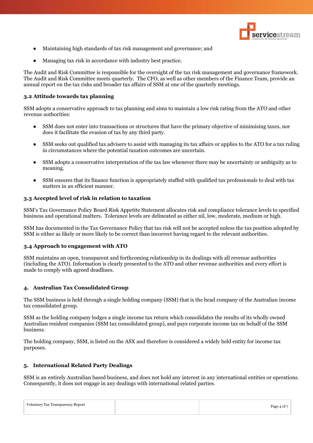

- Maintaining high standards of tax risk management and governance; and
- Managing tax risk in accordance with industry best practice.

The Audit and Risk Committee is responsible for the oversight of the tax risk management and governance framework. The Audit and Risk Committee meets quarterly. The CFO, as well as other members of the Finance Team, provide an annual report on the tax risks and broader tax affairs of SSM at one of the quarterly meetings.

#### **3.2 Attitude towards tax planning**

SSM adopts a conservative approach to tax planning and aims to maintain a low risk rating from the ATO and other revenue authorities:

- SSM does not enter into transactions or structures that have the primary objective of minimising taxes, nor does it facilitate the evasion of tax by any third party.
- SSM seeks out qualified tax advisers to assist with managing its tax affairs or applies to the ATO for a tax ruling in circumstances where the potential taxation outcomes are uncertain.
- SSM adopts a conservative interpretation of the tax law whenever there may be uncertainty or ambiguity as to meaning.
- SSM ensures that its finance function is appropriately staffed with qualified tax professionals to deal with tax matters in an efficient manner.

#### **3.3 Accepted level of risk in relation to taxation**

SSM's Tax Governance Policy Board Risk Appetite Statement allocates risk and compliance tolerance levels to specified business and operational matters. Tolerance levels are delineated as either nil, low, moderate, medium or high.

SSM has documented in the Tax Governance Policy that tax risk will not be accepted unless the tax position adopted by SSM is either as likely or more likely to be correct than incorrect having regard to the relevant authorities.

### **3.4 Approach to engagement with ATO**

SSM maintains an open, transparent and forthcoming relationship in its dealings with all revenue authorities (including the ATO). Information is clearly presented to the ATO and other revenue authorities and every effort is made to comply with agreed deadlines.

#### **4. Australian Tax Consolidated Group**

The SSM business is held through a single holding company (SSM) that is the head company of the Australian income tax consolidated group.

SSM as the holding company lodges a single income tax return which consolidates the results of its wholly owned Australian resident companies (SSM tax consolidated group), and pays corporate income tax on behalf of the SSM business.

The holding company, SSM, is listed on the ASX and therefore is considered a widely held entity for income tax purposes.

#### **5. International Related Party Dealings**

SSM is an entirely Australian based business, and does not hold any interest in any international entities or operations. Consequently, it does not engage in any dealings with international related parties.

| Voluntary Tax Transparency Report | Page 4 of 7 |
|-----------------------------------|-------------|
|                                   |             |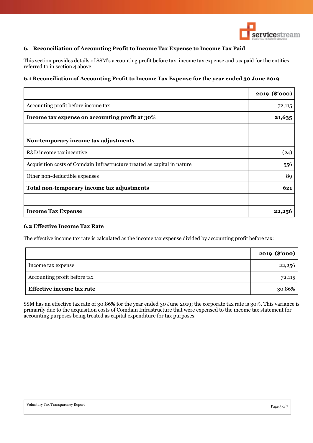

# **6. Reconciliation of Accounting Profit to Income Tax Expense to Income Tax Paid**

This section provides details of SSM's accounting profit before tax, income tax expense and tax paid for the entities referred to in section 4 above.

# **6.1 Reconciliation of Accounting Profit to Income Tax Expense for the year ended 30 June 2019**

|                                                                          | 2019 (\$'000) |
|--------------------------------------------------------------------------|---------------|
| Accounting profit before income tax                                      | 72,115        |
| Income tax expense on accounting profit at 30%                           | 21,635        |
|                                                                          |               |
| Non-temporary income tax adjustments                                     |               |
| R&D income tax incentive                                                 | (24)          |
| Acquisition costs of Comdain Infrastructure treated as capital in nature | 556           |
| Other non-deductible expenses                                            | 89            |
| Total non-temporary income tax adjustments                               | 621           |
|                                                                          |               |
| <b>Income Tax Expense</b>                                                | 22,250        |

# **6.2 Effective Income Tax Rate**

The effective income tax rate is calculated as the income tax expense divided by accounting profit before tax:

|                                  | 2019 (\$'000) |
|----------------------------------|---------------|
| Income tax expense               | 22,256        |
| Accounting profit before tax     | 72,115        |
| <b>Effective income tax rate</b> | 30.86%        |

SSM has an effective tax rate of 30.86% for the year ended 30 June 2019; the corporate tax rate is 30%. This variance is primarily due to the acquisition costs of Comdain Infrastructure that were expensed to the income tax statement for accounting purposes being treated as capital expenditure for tax purposes.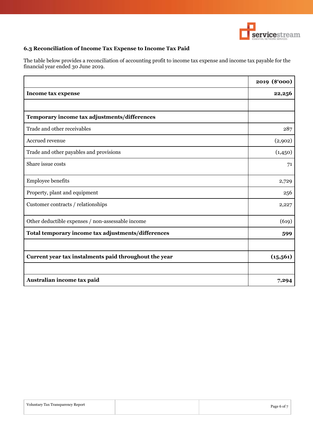

# **6.3 Reconciliation of Income Tax Expense to Income Tax Paid**

The table below provides a reconciliation of accounting profit to income tax expense and income tax payable for the financial year ended 30 June 2019.

|                                                       | 2019 (\$'000) |
|-------------------------------------------------------|---------------|
| <b>Income tax expense</b>                             | 22,256        |
|                                                       |               |
| Temporary income tax adjustments/differences          |               |
| Trade and other receivables                           | 287           |
| Accrued revenue                                       | (2,902)       |
| Trade and other payables and provisions               | (1,450)       |
| Share issue costs                                     | 71            |
| <b>Employee benefits</b>                              | 2,729         |
| Property, plant and equipment                         | 256           |
| Customer contracts / relationships                    | 2,227         |
| Other deductible expenses / non-assessable income     | (619)         |
| Total temporary income tax adjustments/differences    | 599           |
|                                                       |               |
| Current year tax instalments paid throughout the year | (15, 561)     |
|                                                       |               |
| Australian income tax paid                            | 7,294         |

| Page 6 of 7 |
|-------------|
|             |